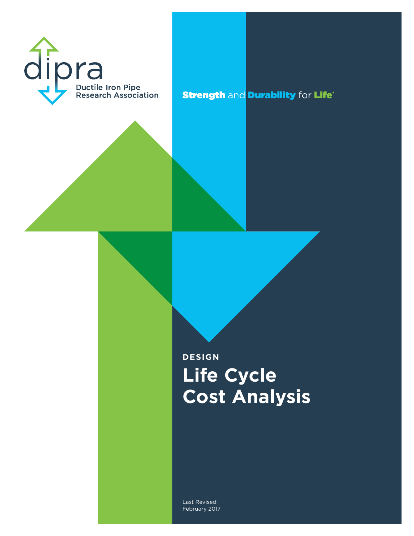

**Strength and Durability for Life®** 

# **DESIGN Life Cycle Cost Analysis**

Last Revised: February 2017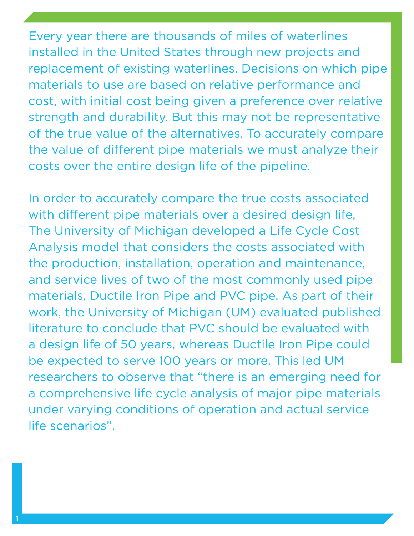Every year there are thousands of miles of waterlines installed in the United States through new projects and replacement of existing waterlines. Decisions on which pipe materials to use are based on relative performance and cost, with initial cost being given a preference over relative strength and durability. But this may not be representative of the true value of the alternatives. To accurately compare the value of different pipe materials we must analyze their costs over the entire design life of the pipeline.

In order to accurately compare the true costs associated with different pipe materials over a desired design life, The University of Michigan developed a Life Cycle Cost Analysis model that considers the costs associated with the production, installation, operation and maintenance, and service lives of two of the most commonly used pipe materials, Ductile Iron Pipe and PVC pipe. As part of their work, the University of Michigan (UM) evaluated published literature to conclude that PVC should be evaluated with a design life of 50 years, whereas Ductile Iron Pipe could be expected to serve 100 years or more. This led UM researchers to observe that "there is an emerging need for a comprehensive life cycle analysis of major pipe materials under varying conditions of operation and actual service life scenarios".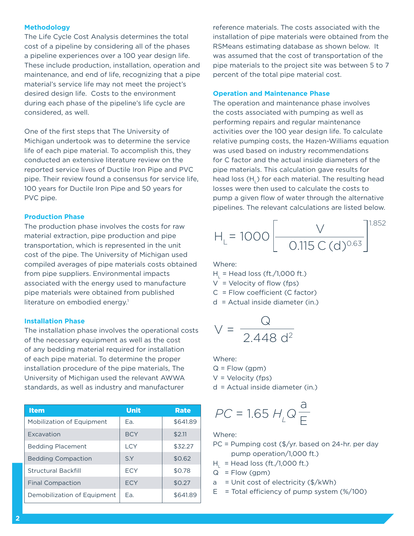#### **Methodology**

The Life Cycle Cost Analysis determines the total cost of a pipeline by considering all of the phases a pipeline experiences over a 100 year design life. These include production, installation, operation and maintenance, and end of life, recognizing that a pipe material's service life may not meet the project's desired design life. Costs to the environment during each phase of the pipeline's life cycle are considered, as well.

One of the first steps that The University of Michigan undertook was to determine the service life of each pipe material. To accomplish this, they conducted an extensive literature review on the reported service lives of Ductile Iron Pipe and PVC pipe. Their review found a consensus for service life, 100 years for Ductile Iron Pipe and 50 years for PVC pipe.

#### **Production Phase**

The production phase involves the costs for raw material extraction, pipe production and pipe transportation, which is represented in the unit cost of the pipe. The University of Michigan used compiled averages of pipe materials costs obtained from pipe suppliers. Environmental impacts associated with the energy used to manufacture pipe materials were obtained from published literature on embodied energy.<sup>1</sup>

#### **Installation Phase**

The installation phase involves the operational costs of the necessary equipment as well as the cost of any bedding material required for installation of each pipe material. To determine the proper installation procedure of the pipe materials, The University of Michigan used the relevant AWWA standards, as well as industry and manufacturer

| <b>Item</b>                      | <b>Unit</b> | <b>Rate</b> |
|----------------------------------|-------------|-------------|
| <b>Mobilization of Equipment</b> | Fa.         | \$641.89    |
| <b>Excavation</b>                | <b>BCY</b>  | \$2.11      |
| <b>Bedding Placement</b>         | LCY         | \$32.27     |
| <b>Bedding Compaction</b>        | S.Y         | \$0.62      |
| <b>Structural Backfill</b>       | <b>FCY</b>  | \$0.78      |
| <b>Final Compaction</b>          | <b>FCY</b>  | \$0.27      |
| Demobilization of Equipment      | Fa.         | \$641.89    |

reference materials. The costs associated with the installation of pipe materials were obtained from the RSMeans estimating database as shown below. It was assumed that the cost of transportation of the pipe materials to the project site was between 5 to 7 percent of the total pipe material cost.

#### **Operation and Maintenance Phase**

The operation and maintenance phase involves the costs associated with pumping as well as performing repairs and regular maintenance activities over the 100 year design life. To calculate relative pumping costs, the Hazen-Williams equation was used based on industry recommendations for C factor and the actual inside diameters of the pipe materials. This calculation gave results for head loss (H<sub>i</sub>) for each material. The resulting head losses were then used to calculate the costs to pump a given flow of water through the alternative pipelines. The relevant calculations are listed below.

$$
H_{L} = 1000 \left[ \frac{V}{0.115 \text{ C (d)^{0.63}}} \right]^{1.852}
$$

Where:

 $H<sub>L</sub>$  = Head loss (ft./1,000 ft.)<br>  $H<sub>L</sub> =$  Velocity of flow (fns)

 $V =$  Velocity of flow (fps)  $p<sub>5</sub>$ )

 $C =$  Flow coefficient (C factor)

 $d =$  Actual inside diameter (in.) 0.115 C (d)0.63

$$
V = \frac{Q}{2.448 d^2}
$$

### Where:

where.<br>Q = Flow (gpm)

 $V =$  Velocity (fps)

d = Actual inside diameter (in.)

$$
PC = 1.65 H_{L}Q\frac{a}{E}
$$

#### Where:

- PC = Pumping cost (\$/yr. based on 24-hr. per day pump operation/1,000 ft.)
- $H<sub>l</sub>$  = Head loss (ft./1,000 ft.)
- $Q = Flow (gpm)$
- $a =$  Unit cost of electricity (\$/kWh)
- $E =$  Total efficiency of pump system  $(\frac{1}{2})(100)$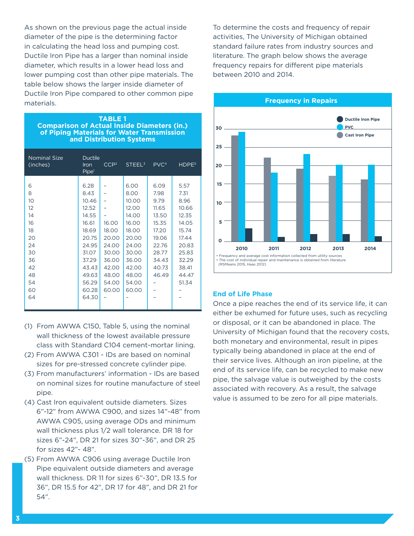As shown on the previous page the actual inside diameter of the pipe is the determining factor in calculating the head loss and pumping cost. Ductile Iron Pipe has a larger than nominal inside diameter, which results in a lower head loss and lower pumping cost than other pipe materials. The table below shows the larger inside diameter of Ductile Iron Pipe compared to other common pipe materials.

#### **TABLE 1 Comparison of Actual Inside Diameters (in.) of Piping Materials for Water Transmission and Distribution Systems**

| <b>Nominal Size</b><br>(inches)                                                      | <b>Ductile</b><br>Iron<br>Pipe <sup>1</sup>                                                                                       | CCP <sup>2</sup>                                                                       | STEEL <sup>3</sup>                                                                                                                | PVC <sup>4</sup>                                                                                               | HDPE <sup>5</sup>                                                                                                       |
|--------------------------------------------------------------------------------------|-----------------------------------------------------------------------------------------------------------------------------------|----------------------------------------------------------------------------------------|-----------------------------------------------------------------------------------------------------------------------------------|----------------------------------------------------------------------------------------------------------------|-------------------------------------------------------------------------------------------------------------------------|
| 6<br>8<br>10<br>12<br>14<br>16<br>18<br>20<br>24<br>30<br>36<br>42<br>48<br>54<br>60 | 6.28<br>8.43<br>10.46<br>12.52<br>14.55<br>16.61<br>18.69<br>20.75<br>24.95<br>31.07<br>37.29<br>43.43<br>49.63<br>56.29<br>60.28 | 16.00<br>18.00<br>20.00<br>24.00<br>30.00<br>36.00<br>42.00<br>48.00<br>54.00<br>60.00 | 6.00<br>8.00<br>10.00<br>12.00<br>14.00<br>16.00<br>18.00<br>20.00<br>24.00<br>30.00<br>36.00<br>42.00<br>48.00<br>54.00<br>60.00 | 6.09<br>7.98<br>9.79<br>11.65<br>13.50<br>15.35<br>17.20<br>19.06<br>22.76<br>28.77<br>34.43<br>40.73<br>46.49 | 5.57<br>7.31<br>8.96<br>10.66<br>12.35<br>14.05<br>15.74<br>17.44<br>20.83<br>25.83<br>32.29<br>38.41<br>44.47<br>51.34 |
| 64                                                                                   | 64.30                                                                                                                             |                                                                                        |                                                                                                                                   |                                                                                                                |                                                                                                                         |

- (1) From AWWA C150, Table 5, using the nominal wall thickness of the lowest available pressure class with Standard C104 cement-mortar lining.
- (2) From AWWA C301 IDs are based on nominal sizes for pre-stressed concrete cylinder pipe.
- (3) From manufacturers' information IDs are based on nominal sizes for routine manufacture of steel pipe.
- (4) Cast Iron equivalent outside diameters. Sizes 6"-12" from AWWA C900, and sizes 14"-48" from AWWA C905, using average ODs and minimum wall thickness plus 1/2 wall tolerance. DR 18 for sizes 6"-24", DR 21 for sizes 30"-36", and DR 25 for sizes 42"- 48".
- (5) From AWWA C906 using average Ductile Iron Pipe equivalent outside diameters and average wall thickness. DR 11 for sizes 6"-30", DR 13.5 for 36", DR 15.5 for 42", DR 17 for 48", and DR 21 for 54".

To determine the costs and frequency of repair activities, The University of Michigan obtained standard failure rates from industry sources and literature. The graph below shows the average frequency repairs for different pipe materials between 2010 and 2014.



#### **End of Life Phase**

Once a pipe reaches the end of its service life, it can either be exhumed for future uses, such as recycling or disposal, or it can be abandoned in place. The University of Michigan found that the recovery costs, both monetary and environmental, result in pipes typically being abandoned in place at the end of their service lives. Although an iron pipeline, at the end of its service life, can be recycled to make new pipe, the salvage value is outweighed by the costs associated with recovery. As a result, the salvage value is assumed to be zero for all pipe materials.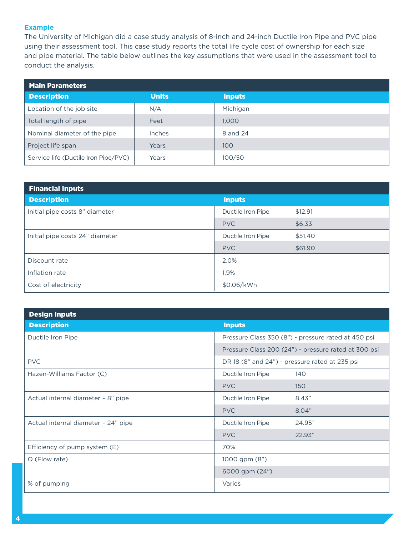#### **Example**

The University of Michigan did a case study analysis of 8-inch and 24-inch Ductile Iron Pipe and PVC pipe using their assessment tool. This case study reports the total life cycle cost of ownership for each size and pipe material. The table below outlines the key assumptions that were used in the assessment tool to conduct the analysis.

| <b>Main Parameters</b>               |              |               |  |
|--------------------------------------|--------------|---------------|--|
| <b>Description</b>                   | <b>Units</b> | <b>Inputs</b> |  |
| Location of the job site             | N/A          | Michigan      |  |
| Total length of pipe                 | Feet         | 1.000         |  |
| Nominal diameter of the pipe         | Inches       | 8 and 24      |  |
| Project life span                    | Years        | 100           |  |
| Service life (Ductile Iron Pipe/PVC) | Years        | 100/50        |  |

| <b>Financial Inputs</b>         |                   |         |  |
|---------------------------------|-------------------|---------|--|
| <b>Description</b>              | <b>Inputs</b>     |         |  |
| Initial pipe costs 8" diameter  | Ductile Iron Pipe | \$12.91 |  |
|                                 | <b>PVC</b>        | \$6.33  |  |
| Initial pipe costs 24" diameter | Ductile Iron Pipe | \$51.40 |  |
|                                 | <b>PVC</b>        | \$61.90 |  |
| Discount rate                   | 2.0%              |         |  |
| Inflation rate                  | 1.9%              |         |  |
| Cost of electricity             | \$0.06/kWh        |         |  |

| <b>Design Inputs</b>                |                                                      |        |  |
|-------------------------------------|------------------------------------------------------|--------|--|
| <b>Description</b>                  | <b>Inputs</b>                                        |        |  |
| Ductile Iron Pipe                   | Pressure Class 350 (8") - pressure rated at 450 psi  |        |  |
|                                     | Pressure Class 200 (24") - pressure rated at 300 psi |        |  |
| <b>PVC</b>                          | DR 18 (8" and 24") - pressure rated at 235 psi       |        |  |
| Hazen-Williams Factor (C)           | Ductile Iron Pipe                                    | 140    |  |
|                                     | <b>PVC</b>                                           | 150    |  |
| Actual internal diameter - 8" pipe  | Ductile Iron Pipe                                    | 8.43"  |  |
|                                     | <b>PVC</b>                                           | 8.04"  |  |
| Actual internal diameter - 24" pipe | Ductile Iron Pipe                                    | 24.95" |  |
|                                     | <b>PVC</b>                                           | 22.93" |  |
| Efficiency of pump system (E)       | 70%                                                  |        |  |
| Q (Flow rate)                       | 1000 gpm (8")                                        |        |  |
|                                     | 6000 gpm (24")                                       |        |  |
| % of pumping                        | Varies                                               |        |  |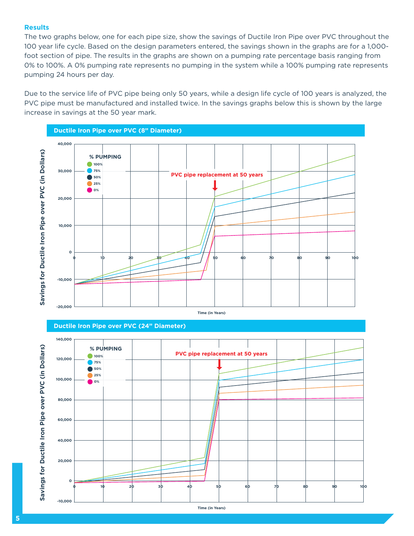#### **Results**

The two graphs below, one for each pipe size, show the savings of Ductile Iron Pipe over PVC throughout the 100 year life cycle. Based on the design parameters entered, the savings shown in the graphs are for a 1,000 foot section of pipe. The results in the graphs are shown on a pumping rate percentage basis ranging from 0% to 100%. A 0% pumping rate represents no pumping in the system while a 100% pumping rate represents pumping 24 hours per day.

Due to the service life of PVC pipe being only 50 years, while a design life cycle of 100 years is analyzed, the PVC pipe must be manufactured and installed twice. In the savings graphs below this is shown by the large increase in savings at the 50 year mark.







**5**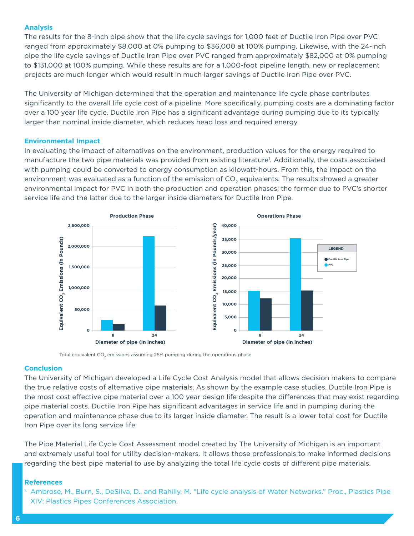#### **Analysis**

The results for the 8-inch pipe show that the life cycle savings for 1,000 feet of Ductile Iron Pipe over PVC ranged from approximately \$8,000 at 0% pumping to \$36,000 at 100% pumping. Likewise, with the 24-inch pipe the life cycle savings of Ductile Iron Pipe over PVC ranged from approximately \$82,000 at 0% pumping to \$131,000 at 100% pumping. While these results are for a 1,000-foot pipeline length, new or replacement projects are much longer which would result in much larger savings of Ductile Iron Pipe over PVC.

The University of Michigan determined that the operation and maintenance life cycle phase contributes significantly to the overall life cycle cost of a pipeline. More specifically, pumping costs are a dominating factor over a 100 year life cycle. Ductile Iron Pipe has a significant advantage during pumping due to its typically larger than nominal inside diameter, which reduces head loss and required energy.

#### **Environmental Impact**

In evaluating the impact of alternatives on the environment, production values for the energy required to manufacture the two pipe materials was provided from existing literature<sup>1</sup>. Additionally, the costs associated with pumping could be converted to energy consumption as kilowatt-hours. From this, the impact on the environment was evaluated as a function of the emission of CO<sub>2</sub> equivalents. The results showed a greater environmental impact for PVC in both the production and operation phases; the former due to PVC's shorter service life and the latter due to the larger inside diameters for Ductile Iron Pipe.



Total equivalent  $CO<sub>2</sub>$  emissions assuming 25% pumping during the operations phase

#### **Conclusion**

The University of Michigan developed a Life Cycle Cost Analysis model that allows decision makers to compare the true relative costs of alternative pipe materials. As shown by the example case studies, Ductile Iron Pipe is the most cost effective pipe material over a 100 year design life despite the differences that may exist regarding pipe material costs. Ductile Iron Pipe has significant advantages in service life and in pumping during the operation and maintenance phase due to its larger inside diameter. The result is a lower total cost for Ductile Iron Pipe over its long service life.

The Pipe Material Life Cycle Cost Assessment model created by The University of Michigan is an important and extremely useful tool for utility decision-makers. It allows those professionals to make informed decisions regarding the best pipe material to use by analyzing the total life cycle costs of different pipe materials.

#### **References**

1. Ambrose, M., Burn, S., DeSilva, D., and Rahilly, M. "Life cycle analysis of Water Networks." Proc., Plastics Pipe XIV: Plastics Pipes Conferences Association.